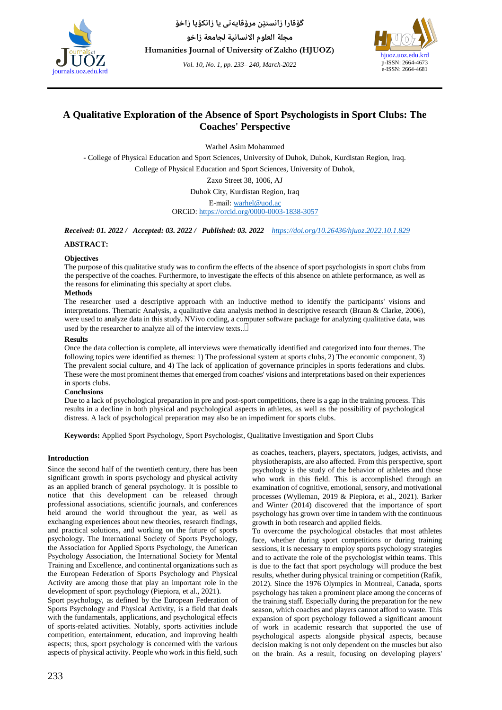

*Vol. 10, No. 1, pp. 233– 240, March-2022*



# **A Qualitative Exploration of the Absence of Sport Psychologists in Sport Clubs: The Coaches' Perspective**

Warhel Asim Mohammed

- College of Physical Education and Sport Sciences, University of Duhok, Duhok, Kurdistan Region, Iraq. College of Physical Education and Sport Sciences, University of Duhok,

Zaxo Street 38, 1006, AJ

Duhok City, Kurdistan Region, Iraq

E-mail: [warhel@uod.ac](mailto:warhel@uod.ac) ORCiD[: https://orcid.org/0000-0003-1838-3057](https://orcid.org/0000-0003-1838-3057)

*Received: 01. 2022 / Accepted: 03. 2022 / Published: 03. 2022 <https://doi.org/10.26436/hjuoz.2022.10.1.829>*

# **ABSTRACT:**

# **Objectives**

The purpose of this qualitative study was to confirm the effects of the absence of sport psychologists in sport clubs from the perspective of the coaches. Furthermore, to investigate the effects of this absence on athlete performance, as well as the reasons for eliminating this specialty at sport clubs.

# **Methods**

The researcher used a descriptive approach with an inductive method to identify the participants' visions and interpretations. Thematic Analysis, a qualitative data analysis method in descriptive research (Braun & Clarke, 2006), were used to analyze data in this study. NVivo coding, a computer software package for analyzing qualitative data, was used by the researcher to analyze all of the interview texts..

# **Results**

Once the data collection is complete, all interviews were thematically identified and categorized into four themes. The following topics were identified as themes: 1) The professional system at sports clubs, 2) The economic component, 3) The prevalent social culture, and 4) The lack of application of governance principles in sports federations and clubs. These were the most prominent themes that emerged from coaches' visions and interpretations based on their experiences in sports clubs.

# **Conclusions**

Due to a lack of psychological preparation in pre and post-sport competitions, there is a gap in the training process. This results in a decline in both physical and psychological aspects in athletes, as well as the possibility of psychological distress. A lack of psychological preparation may also be an impediment for sports clubs.

**Keywords:** Applied Sport Psychology, Sport Psychologist, Qualitative Investigation and Sport Clubs

# **Introduction**

Since the second half of the twentieth century, there has been significant growth in sports psychology and physical activity as an applied branch of general psychology. It is possible to notice that this development can be released through professional associations, scientific journals, and conferences held around the world throughout the year, as well as exchanging experiences about new theories, research findings, and practical solutions, and working on the future of sports psychology. The International Society of Sports Psychology, the Association for Applied Sports Psychology, the American Psychology Association, the International Society for Mental Training and Excellence, and continental organizations such as the European Federation of Sports Psychology and Physical Activity are among those that play an important role in the development of sport psychology (Piepiora, et al., 2021).

Sport psychology, as defined by the European Federation of Sports Psychology and Physical Activity, is a field that deals with the fundamentals, applications, and psychological effects of sports-related activities. Notably, sports activities include competition, entertainment, education, and improving health aspects; thus, sport psychology is concerned with the various aspects of physical activity. People who work in this field, such

as coaches, teachers, players, spectators, judges, activists, and physiotherapists, are also affected. From this perspective, sport psychology is the study of the behavior of athletes and those who work in this field. This is accomplished through an examination of cognitive, emotional, sensory, and motivational processes (Wylleman, 2019 & Piepiora, et al., 2021). Barker and Winter (2014) discovered that the importance of sport psychology has grown over time in tandem with the continuous growth in both research and applied fields.

To overcome the psychological obstacles that most athletes face, whether during sport competitions or during training sessions, it is necessary to employ sports psychology strategies and to activate the role of the psychologist within teams. This is due to the fact that sport psychology will produce the best results, whether during physical training or competition (Rafik, 2012). Since the 1976 Olympics in Montreal, Canada, sports psychology has taken a prominent place among the concerns of the training staff. Especially during the preparation for the new season, which coaches and players cannot afford to waste. This expansion of sport psychology followed a significant amount of work in academic research that supported the use of psychological aspects alongside physical aspects, because decision making is not only dependent on the muscles but also on the brain. As a result, focusing on developing players'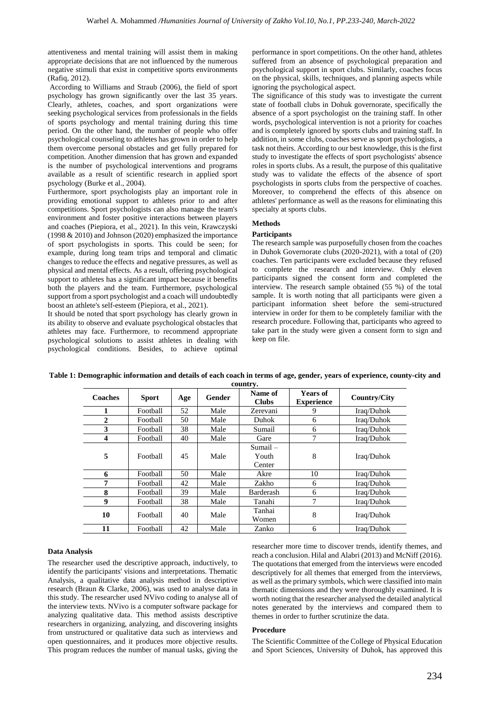attentiveness and mental training will assist them in making appropriate decisions that are not influenced by the numerous negative stimuli that exist in competitive sports environments (Rafiq, 2012).

According to Williams and Straub (2006), the field of sport psychology has grown significantly over the last 35 years. Clearly, athletes, coaches, and sport organizations were seeking psychological services from professionals in the fields of sports psychology and mental training during this time period. On the other hand, the number of people who offer psychological counseling to athletes has grown in order to help them overcome personal obstacles and get fully prepared for competition. Another dimension that has grown and expanded is the number of psychological interventions and programs available as a result of scientific research in applied sport psychology (Burke et al., 2004).

Furthermore, sport psychologists play an important role in providing emotional support to athletes prior to and after competitions. Sport psychologists can also manage the team's environment and foster positive interactions between players and coaches (Piepiora, et al., 2021). In this vein, Krawczyski (1998 & 2010) and Johnson (2020) emphasized the importance of sport psychologists in sports. This could be seen; for example, during long team trips and temporal and climatic changes to reduce the effects and negative pressures, as well as physical and mental effects. As a result, offering psychological support to athletes has a significant impact because it benefits both the players and the team. Furthermore, psychological support from a sport psychologist and a coach will undoubtedly boost an athlete's self-esteem (Piepiora, et al., 2021).

It should be noted that sport psychology has clearly grown in its ability to observe and evaluate psychological obstacles that athletes may face. Furthermore, to recommend appropriate psychological solutions to assist athletes in dealing with psychological conditions. Besides, to achieve optimal performance in sport competitions. On the other hand, athletes suffered from an absence of psychological preparation and psychological support in sport clubs. Similarly, coaches focus on the physical, skills, techniques, and planning aspects while ignoring the psychological aspect.

The significance of this study was to investigate the current state of football clubs in Dohuk governorate, specifically the absence of a sport psychologist on the training staff. In other words, psychological intervention is not a priority for coaches and is completely ignored by sports clubs and training staff. In addition, in some clubs, coaches serve as sport psychologists, a task not theirs. According to our best knowledge, this is the first study to investigate the effects of sport psychologists' absence roles in sports clubs. As a result, the purpose of this qualitative study was to validate the effects of the absence of sport psychologists in sports clubs from the perspective of coaches. Moreover, to comprehend the effects of this absence on athletes' performance as well as the reasons for eliminating this specialty at sports clubs.

# **Methods**

# **Participants**

The research sample was purposefully chosen from the coaches in Duhok Governorate clubs (2020-2021), with a total of (20) coaches. Ten participants were excluded because they refused to complete the research and interview. Only eleven participants signed the consent form and completed the interview. The research sample obtained (55 %) of the total sample. It is worth noting that all participants were given a participant information sheet before the semi-structured interview in order for them to be completely familiar with the research procedure. Following that, participants who agreed to take part in the study were given a consent form to sign and keep on file.

| Coaches      | <b>Sport</b> | Age | Gender | Name of<br><b>Clubs</b>       | <b>Years of</b><br><b>Experience</b> | Country/City |
|--------------|--------------|-----|--------|-------------------------------|--------------------------------------|--------------|
|              | Football     | 52  | Male   | Zerevani                      | 9                                    | Iraq/Duhok   |
| $\mathbf{2}$ | Football     | 50  | Male   | Duhok                         | 6                                    | Iraq/Duhok   |
| 3            | Football     | 38  | Male   | Sumail                        | 6                                    | Iraq/Duhok   |
| 4            | Football     | 40  | Male   | Gare                          | 7                                    | Iraq/Duhok   |
| 5            | Football     | 45  | Male   | $Sumail -$<br>Youth<br>Center | 8                                    | Iraq/Duhok   |
| 6            | Football     | 50  | Male   | Akre                          | 10                                   | Iraq/Duhok   |
| 7            | Football     | 42  | Male   | Zakho                         | 6                                    | Iraq/Duhok   |
| 8            | Football     | 39  | Male   | Barderash                     | 6                                    | Iraq/Duhok   |
| 9            | Football     | 38  | Male   | Tanahi                        | 7                                    | Iraq/Duhok   |
| 10           | Football     | 40  | Male   | Tanhai<br>Women               | 8                                    | Iraq/Duhok   |
| 11           | Football     | 42  | Male   | Zanko                         | 6                                    | Iraq/Duhok   |

**Table 1: Demographic information and details of each coach in terms of age, gender, years of experience, county-city and country.**

# **Data Analysis**

The researcher used the descriptive approach, inductively, to identify the participants' visions and interpretations. Thematic Analysis, a qualitative data analysis method in descriptive research (Braun & Clarke, 2006), was used to analyse data in this study. The researcher used NVivo coding to analyse all of the interview texts. NVivo is a computer software package for analyzing qualitative data. This method assists descriptive researchers in organizing, analyzing, and discovering insights from unstructured or qualitative data such as interviews and open questionnaires, and it produces more objective results. This program reduces the number of manual tasks, giving the researcher more time to discover trends, identify themes, and reach a conclusion. Hilal and Alabri (2013) and McNiff (2016). The quotations that emerged from the interviews were encoded descriptively for all themes that emerged from the interviews, as well as the primary symbols, which were classified into main thematic dimensions and they were thoroughly examined. It is worth noting that the researcher analysed the detailed analytical notes generated by the interviews and compared them to themes in order to further scrutinize the data.

# **Procedure**

The Scientific Committee of the College of Physical Education and Sport Sciences, University of Duhok, has approved this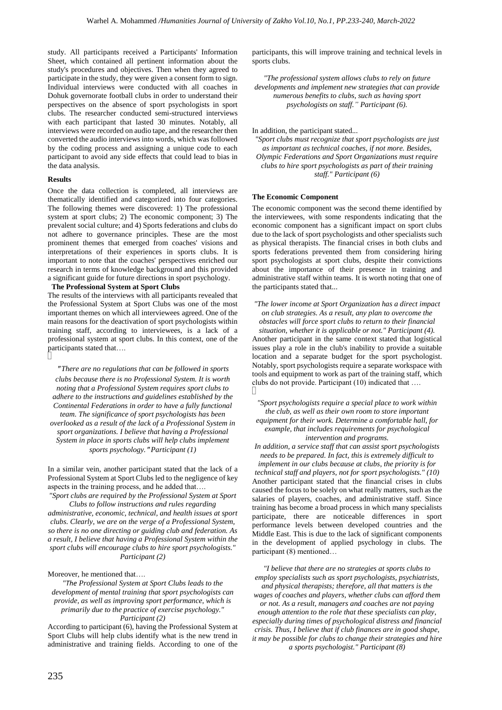study. All participants received a Participants' Information Sheet, which contained all pertinent information about the study's procedures and objectives. Then when they agreed to participate in the study, they were given a consent form to sign. Individual interviews were conducted with all coaches in Dohuk governorate football clubs in order to understand their perspectives on the absence of sport psychologists in sport clubs. The researcher conducted semi-structured interviews with each participant that lasted 30 minutes. Notably, all interviews were recorded on audio tape, and the researcher then converted the audio interviews into words, which was followed by the coding process and assigning a unique code to each participant to avoid any side effects that could lead to bias in the data analysis.

# **Results**

Once the data collection is completed, all interviews are thematically identified and categorized into four categories. The following themes were discovered: 1) The professional system at sport clubs; 2) The economic component; 3) The prevalent social culture; and 4) Sports federations and clubs do not adhere to governance principles. These are the most prominent themes that emerged from coaches' visions and interpretations of their experiences in sports clubs. It is important to note that the coaches' perspectives enriched our research in terms of knowledge background and this provided a significant guide for future directions in sport psychology.

#### **The Professional System at Sport Clubs**

The results of the interviews with all participants revealed that the Professional System at Sport Clubs was one of the most important themes on which all interviewees agreed. One of the main reasons for the deactivation of sport psychologists within training staff, according to interviewees, is a lack of a professional system at sport clubs. In this context, one of the participants stated that….

" *There are no regulations that can be followed in sports clubs because there is no Professional System. It is worth noting that a Professional System requires sport clubs to adhere to the instructions and guidelines established by the Continental Federations in order to have a fully functional team. The significance of sport psychologists has been overlooked as a result of the lack of a Professional System in sport organizations. I believe that having a Professional System in place in sports clubs will help clubs implement sports psychology.*" *Participant (1)*

In a similar vein, another participant stated that the lack of a Professional System at Sport Clubs led to the negligence of key aspects in the training process, and he added that….

*"Sport clubs are required by the Professional System at Sport Clubs to follow instructions and rules regarding administrative, economic, technical, and health issues at sport clubs. Clearly, we are on the verge of a Professional System, so there is no one directing or guiding club and federation. As a result, I believe that having a Professional System within the sport clubs will encourage clubs to hire sport psychologists." Participant (2)*

# Moreover, he mentioned that….

*"The Professional System at Sport Clubs leads to the development of mental training that sport psychologists can provide, as well as improving sport performance, which is primarily due to the practice of exercise psychology." Participant (2)* 

According to participant (6), having the Professional System at Sport Clubs will help clubs identify what is the new trend in administrative and training fields. According to one of the participants, this will improve training and technical levels in sports clubs.

*"The professional system allows clubs to rely on future developments and implement new strategies that can provide numerous benefits to clubs, such as having sport psychologists on staff." Participant (6).*

In addition, the participant stated...

*"Sport clubs must recognize that sport psychologists are just as important as technical coaches, if not more. Besides, Olympic Federations and Sport Organizations must require clubs to hire sport psychologists as part of their training staff." Participant (6)*

#### **The Economic Component**

The economic component was the second theme identified by the interviewees, with some respondents indicating that the economic component has a significant impact on sport clubs due to the lack of sport psychologists and other specialists such as physical therapists. The financial crises in both clubs and sports federations prevented them from considering hiring sport psychologists at sport clubs, despite their convictions about the importance of their presence in training and administrative staff within teams. It is worth noting that one of the participants stated that...

*"The lower income at Sport Organization has a direct impact on club strategies. As a result, any plan to overcome the obstacles will force sport clubs to return to their financial situation, whether it is applicable or not." Participant (4).* Another participant in the same context stated that logistical issues play a role in the club's inability to provide a suitable location and a separate budget for the sport psychologist. Notably, sport psychologists require a separate workspace with tools and equipment to work as part of the training staff, which clubs do not provide. Participant (10) indicated that ….

*"Sport psychologists require a special place to work within the club, as well as their own room to store important equipment for their work. Determine a comfortable hall, for example, that includes requirements for psychological intervention and programs.*

*In addition, a service staff that can assist sport psychologists needs to be prepared. In fact, this is extremely difficult to implement in our clubs because at clubs, the priority is for technical staff and players, not for sport psychologists." (10)* Another participant stated that the financial crises in clubs caused the focus to be solely on what really matters, such as the salaries of players, coaches, and administrative staff. Since training has become a broad process in which many specialists participate, there are noticeable differences in sport performance levels between developed countries and the Middle East. This is due to the lack of significant components in the development of applied psychology in clubs. The participant (8) mentioned…

*"I believe that there are no strategies at sports clubs to employ specialists such as sport psychologists, psychiatrists, and physical therapists; therefore, all that matters is the wages of coaches and players, whether clubs can afford them or not. As a result, managers and coaches are not paying enough attention to the role that these specialists can play, especially during times of psychological distress and financial crisis. Thus, I believe that if club finances are in good shape, it may be possible for clubs to change their strategies and hire a sports psychologist." Participant (8)*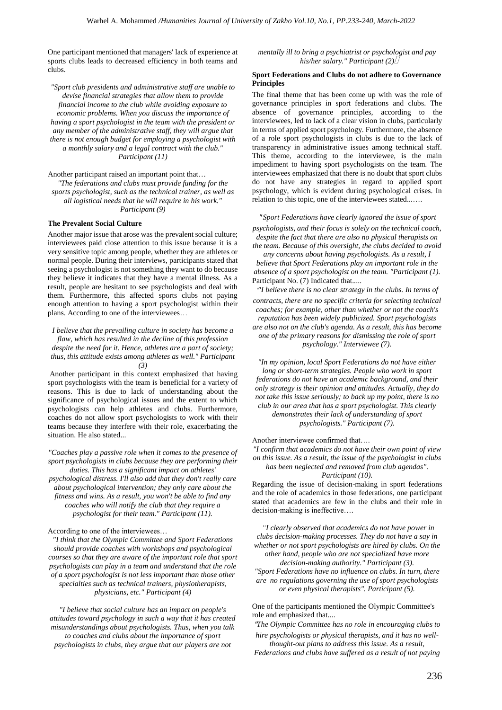One participant mentioned that managers' lack of experience at sports clubs leads to decreased efficiency in both teams and clubs.

*"Sport club presidents and administrative staff are unable to devise financial strategies that allow them to provide financial income to the club while avoiding exposure to economic problems. When you discuss the importance of having a sport psychologist in the team with the president or any member of the administrative staff, they will argue that there is not enough budget for employing a psychologist with a monthly salary and a legal contract with the club." Participant (11)*

Another participant raised an important point that… *"The federations and clubs must provide funding for the sports psychologist, such as the technical trainer, as well as all logistical needs that he will require in his work." Participant (9)*

#### **The Prevalent Social Culture**

Another major issue that arose was the prevalent social culture; interviewees paid close attention to this issue because it is a very sensitive topic among people, whether they are athletes or normal people. During their interviews, participants stated that seeing a psychologist is not something they want to do because they believe it indicates that they have a mental illness. As a result, people are hesitant to see psychologists and deal with them. Furthermore, this affected sports clubs not paying enough attention to having a sport psychologist within their plans. According to one of the interviewees…

*I believe that the prevailing culture in society has become a flaw, which has resulted in the decline of this profession despite the need for it. Hence, athletes are a part of society; thus, this attitude exists among athletes as well." Participant (3)*

Another participant in this context emphasized that having sport psychologists with the team is beneficial for a variety of reasons. This is due to lack of understanding about the significance of psychological issues and the extent to which psychologists can help athletes and clubs. Furthermore, coaches do not allow sport psychologists to work with their teams because they interfere with their role, exacerbating the situation. He also stated...

*"Coaches play a passive role when it comes to the presence of sport psychologists in clubs because they are performing their duties. This has a significant impact on athletes' psychological distress. I'll also add that they don't really care about psychological intervention; they only care about the fitness and wins. As a result, you won't be able to find any coaches who will notify the club that they require a psychologist for their team." Participant (11).*

#### According to one of the interviewees…

*"I think that the Olympic Committee and Sport Federations should provide coaches with workshops and psychological courses so that they are aware of the important role that sport psychologists can play in a team and understand that the role of a sport psychologist is not less important than those other specialties such as technical trainers, physiotherapists, physicians, etc." Participant (4)*

*"I believe that social culture has an impact on people's attitudes toward psychology in such a way that it has created misunderstandings about psychologists. Thus, when you talk to coaches and clubs about the importance of sport psychologists in clubs, they argue that our players are not* 

*mentally ill to bring a psychiatrist or psychologist and pay his/her salary." Participant (2)*

#### **Sport Federations and Clubs do not adhere to Governance Principles**

The final theme that has been come up with was the role of governance principles in sport federations and clubs. The absence of governance principles, according to the interviewees, led to lack of a clear vision in clubs, particularly in terms of applied sport psychology. Furthermore, the absence of a role sport psychologists in clubs is due to the lack of transparency in administrative issues among technical staff. This theme, according to the interviewee, is the main impediment to having sport psychologists on the team. The interviewees emphasized that there is no doubt that sport clubs do not have any strategies in regard to applied sport psychology, which is evident during psychological crises. In relation to this topic, one of the interviewees stated...….

#### " *Sport Federations have clearly ignored the issue of sport*

*psychologists, and their focus is solely on the technical coach, despite the fact that there are also no physical therapists on the team. Because of this oversight, the clubs decided to avoid* 

*any concerns about having psychologists. As a result, I believe that Sport Federations play an important role in the absence of a sport psychologist on the team. "Participant (1).* Participant No. (7) Indicated that.....

"*"I believe there is no clear strategy in the clubs. In terms of contracts, there are no specific criteria for selecting technical coaches; for example, other than whether or not the coach's reputation has been widely publicized. Sport psychologists are also not on the club's agenda. As a result, this has become one of the primary reasons for dismissing the role of sport psychology." Interviewee (7).*

*"In my opinion, local Sport Federations do not have either long or short-term strategies. People who work in sport federations do not have an academic background, and their only strategy is their opinion and attitudes. Actually, they do not take this issue seriously; to back up my point, there is no club in our area that has a sport psychologist. This clearly demonstrates their lack of understanding of sport psychologists." Participant (7).*

### Another interviewee confirmed that….

*"I confirm that academics do not have their own point of view on this issue. As a result, the issue of the psychologist in clubs has been neglected and removed from club agendas". Participant (10).*

Regarding the issue of decision-making in sport federations and the role of academics in those federations, one participant stated that academics are few in the clubs and their role in decision-making is ineffective….

*"I clearly observed that academics do not have power in clubs decision-making processes. They do not have a say in whether or not sport psychologists are hired by clubs. On the other hand, people who are not specialized have more decision-making authority." Participant (3). "Sport Federations have no influence on clubs. In turn, there are no regulations governing the use of sport psychologists or even physical therapists". Participant (5).* 

One of the participants mentioned the Olympic Committee's role and emphasized that....

"*The Olympic Committee has no role in encouraging clubs to hire psychologists or physical therapists, and it has no well-*

*thought-out plans to address this issue. As a result, Federations and clubs have suffered as a result of not paying*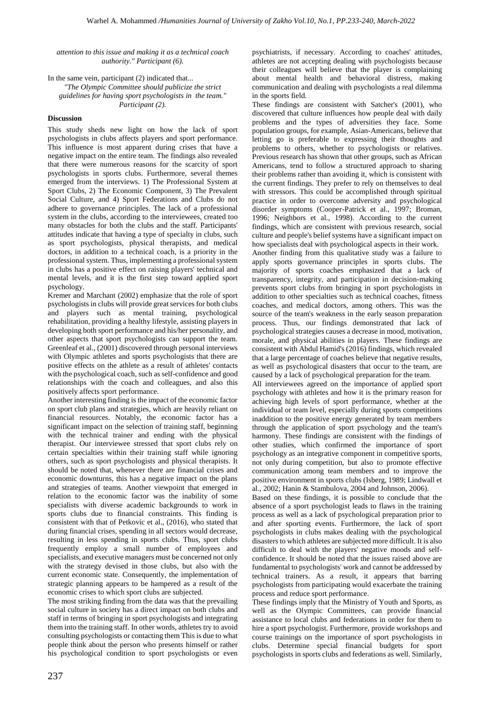*attention to this issue and making it as a technical coach authority." Participant (6).* 

In the same vein, participant (2) indicated that... *"The Olympic Committee should publicize the strict guidelines for having sport psychologists in the team." Participant (2).* 

# **Discussion**

This study sheds new light on how the lack of sport psychologists in clubs affects players and sport performance. This influence is most apparent during crises that have a negative impact on the entire team. The findings also revealed that there were numerous reasons for the scarcity of sport psychologists in sports clubs. Furthermore, several themes emerged from the interviews. 1) The Professional System at Sport Clubs, 2) The Economic Component, 3) The Prevalent Social Culture, and 4) Sport Federations and Clubs do not adhere to governance principles. The lack of a professional system in the clubs, according to the interviewees, created too many obstacles for both the clubs and the staff. Participants' attitudes indicate that having a type of specialty in clubs, such as sport psychologists, physical therapists, and medical doctors, in addition to a technical coach, is a priority in the professional system. Thus, implementing a professional system in clubs has a positive effect on raising players' technical and mental levels, and it is the first step toward applied sport psychology.

Kremer and Marchant (2002) emphasize that the role of sport psychologists in clubs will provide great services for both clubs and players such as mental training, psychological rehabilitation, providing a healthy lifestyle, assisting players in developing both sport performance and his/her personality, and other aspects that sport psychologists can support the team. Greenleaf et al., (2001) discovered through personal interviews with Olympic athletes and sports psychologists that there are positive effects on the athlete as a result of athletes' contacts with the psychological coach, such as self-confidence and good relationships with the coach and colleagues, and also this positively affects sport performance.

Another interesting finding is the impact of the economic factor on sport club plans and strategies, which are heavily reliant on financial resources. Notably, the economic factor has a significant impact on the selection of training staff, beginning with the technical trainer and ending with the physical therapist. Our interviewee stressed that sport clubs rely on certain specialties within their training staff while ignoring others, such as sport psychologists and physical therapists. It should be noted that, whenever there are financial crises and economic downturns, this has a negative impact on the plans and strategies of teams. Another viewpoint that emerged in relation to the economic factor was the inability of some specialists with diverse academic backgrounds to work in sports clubs due to financial constraints. This finding is consistent with that of Petkovic et al., (2016), who stated that during financial crises, spending in all sectors would decrease, resulting in less spending in sports clubs. Thus, sport clubs frequently employ a small number of employees and specialists, and executive managers must be concerned not only with the strategy devised in those clubs, but also with the current economic state. Consequently, the implementation of strategic planning appears to be hampered as a result of the economic crises to which sport clubs are subjected.

The most striking finding from the data was that the prevailing social culture in society has a direct impact on both clubs and staff in terms of bringing in sport psychologists and integrating them into the training staff. In other words, athletes try to avoid consulting psychologists or contacting them This is due to what people think about the person who presents himself or rather his psychological condition to sport psychologists or even

psychiatrists, if necessary. According to coaches' attitudes, athletes are not accepting dealing with psychologists because their colleagues will believe that the player is complaining about mental health and behavioral distress, making communication and dealing with psychologists a real dilemma in the sports field.

These findings are consistent with Satcher's (2001), who discovered that culture influences how people deal with daily problems and the types of adversities they face. Some population groups, for example, Asian-Americans, believe that letting go is preferable to expressing their thoughts and problems to others, whether to psychologists or relatives. Previous research has shown that other groups, such as African Americans, tend to follow a structured approach to sharing their problems rather than avoiding it, which is consistent with the current findings. They prefer to rely on themselves to deal with stressors. This could be accomplished through spiritual practice in order to overcome adversity and psychological disorder symptoms (Cooper-Patrick et al., 1997; Broman, 1996; Neighbors et al., 1998). According to the current findings, which are consistent with previous research, social culture and people's belief systems have a significant impact on how specialists deal with psychological aspects in their work.

Another finding from this qualitative study was a failure to apply sports governance principles in sports clubs. The majority of sports coaches emphasized that a lack of transparency, integrity, and participation in decision-making prevents sport clubs from bringing in sport psychologists in addition to other specialties such as technical coaches, fitness coaches, and medical doctors, among others. This was the source of the team's weakness in the early season preparation process. Thus, our findings demonstrated that lack of psychological strategies causes a decrease in mood, motivation, morale, and physical abilities in players. These findings are consistent with Abdul Hamid's (2016) findings, which revealed that a large percentage of coaches believe that negative results, as well as psychological disasters that occur to the team, are caused by a lack of psychological preparation for the team.

All interviewees agreed on the importance of applied sport psychology with athletes and how it is the primary reason for achieving high levels of sport performance, whether at the individual or team level, especially during sports competitions inaddition to the positive energy generated by team members through the application of sport psychology and the team's harmony. These findings are consistent with the findings of other studies, which confirmed the importance of sport psychology as an integrative component in competitive sports, not only during competition, but also to promote effective communication among team members and to improve the positive environment in sports clubs (Isberg, 1989; Lindwall et al., 2002; Hanin & Stambulova, 2004 and Johnson, 2006).

Based on these findings, it is possible to conclude that the absence of a sport psychologist leads to flaws in the training process as well as a lack of psychological preparation prior to and after sporting events. Furthermore, the lack of sport psychologists in clubs makes dealing with the psychological disasters to which athletes are subjected more difficult. It is also difficult to deal with the players' negative moods and selfconfidence. It should be noted that the issues raised above are fundamental to psychologists' work and cannot be addressed by technical trainers. As a result, it appears that barring psychologists from participating would exacerbate the training process and reduce sport performance.

These findings imply that the Ministry of Youth and Sports, as well as the Olympic Committees, can provide financial assistance to local clubs and federations in order for them to hire a sport psychologist. Furthermore, provide workshops and course trainings on the importance of sport psychologists in clubs. Determine special financial budgets for sport psychologists in sports clubs and federations as well. Similarly,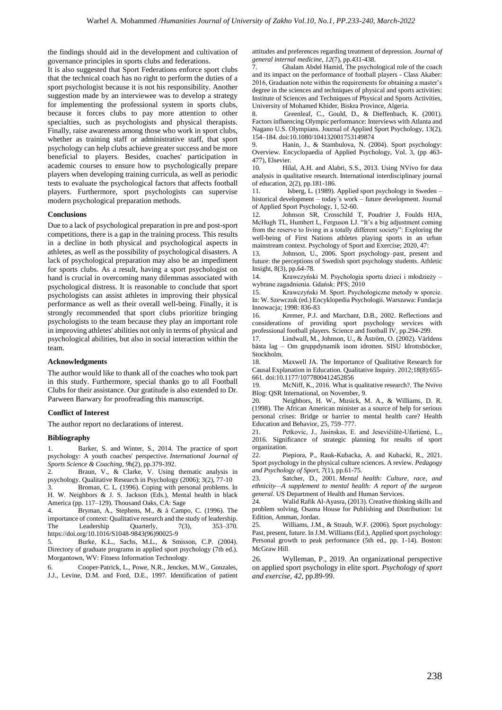the findings should aid in the development and cultivation of governance principles in sports clubs and federations.

It is also suggested that Sport Federations enforce sport clubs that the technical coach has no right to perform the duties of a sport psychologist because it is not his responsibility. Another suggestion made by an interviewee was to develop a strategy for implementing the professional system in sports clubs, because it forces clubs to pay more attention to other specialties, such as psychologists and physical therapists. Finally, raise awareness among those who work in sport clubs, whether as training staff or administrative staff, that sport psychology can help clubs achieve greater success and be more beneficial to players. Besides, coaches' participation in academic courses to ensure how to psychologically prepare players when developing training curricula, as well as periodic tests to evaluate the psychological factors that affects football players. Furthermore, sport psychologists can supervise modern psychological preparation methods.

# **Conclusions**

Due to a lack of psychological preparation in pre and post-sport competitions, there is a gap in the training process. This results in a decline in both physical and psychological aspects in athletes, as well as the possibility of psychological disasters. A lack of psychological preparation may also be an impediment for sports clubs. As a result, having a sport psychologist on hand is crucial in overcoming many dilemmas associated with psychological distress. It is reasonable to conclude that sport psychologists can assist athletes in improving their physical performance as well as their overall well-being. Finally, it is strongly recommended that sport clubs prioritize bringing psychologists to the team because they play an important role in improving athletes' abilities not only in terms of physical and psychological abilities, but also in social interaction within the team.

# **Acknowledgments**

The author would like to thank all of the coaches who took part in this study. Furthermore, special thanks go to all Football Clubs for their assistance. Our gratitude is also extended to Dr. Parween Barwary for proofreading this manuscript.

# **Conflict of Interest**

The author report no declarations of interest.

# **Bibliography**

Barker, S. and Winter, S., 2014. The practice of sport psychology: A youth coaches' perspective. *International Journal of Sports Science & Coaching*, *9*h(2), pp.379-392.

2. Braun, V., & Clarke, V. Using thematic analysis in psychology. Qualitative Research in Psychology (2006); 3(2), 77-10 Broman, C. L. (1996). Coping with personal problems. In H. W. Neighbors & J. S. Jackson (Eds.), Mental health in black America (pp. 117–129). Thousand Oaks, CA: Sage

Bryman, A., Stephens, M., & à Campo, C. (1996). The importance of context: Qualitative research and the study of leadership. The Leadership Quarterly, 7(3), 353–370. [https://doi.org/10.1016/S1048-9843\(96\)90025-9](https://doi.org/10.1016/S1048-9843(96)90025-9)

5. Burke, K.L., Sachs, M.L., & Smisson, C.P. (2004). Directory of graduate programs in applied sport psychology (7th ed.). Morgantown, WV: Fitness Information Technology.

6. Cooper‐Patrick, L., Powe, N.R., Jenckes, M.W., Gonzales, J.J., Levine, D.M. and Ford, D.E., 1997. Identification of patient attitudes and preferences regarding treatment of depression. *Journal of general internal medicine*, *12*(7), pp.431-438.

7. Ghalam Abdel Hamid, The psychological role of the coach and its impact on the performance of football players - Class Akaber: 2016, Graduation note within the requirements for obtaining a master's degree in the sciences and techniques of physical and sports activities: Institute of Sciences and Techniques of Physical and Sports Activities, University of Mohamed Khider, Biskra Province, Algeria.

8. Greenleaf, C., Gould, D., & Dieffenbach, K. (2001). Factors influencing Olympic performance: Interviews with Atlanta and Nagano U.S. Olympians. Journal of Applied Sport Psychology, 13(2), 154–184. doi:10.1080/104132001753149874

9. Hanin, J., & Stambulova, N. (2004). Sport psychology: Overview. Encyclopaedia of Applied Psychology, Vol. 3, (pp 463- 477), Elsevier.

10. Hilal, A.H. and Alabri, S.S., 2013. Using NVivo for data analysis in qualitative research. International interdisciplinary journal of education, 2(2), pp.181-186.

11. Isberg, L. (1989). Applied sport psychology in Sweden – historical development – today´s work – future development. Journal of Applied Sport Psychology, 1, 52-60.

12. Johnson SR, Crosschild T, Poudrier J, Foulds HJA, McHugh TL, Humbert L, Ferguson LJ. "It's a big adjustment coming from the reserve to living in a totally different society": Exploring the well-being of First Nations athletes playing sports in an urban mainstream context. Psychology of Sport and Exercise; 2020, 47:

13. Johnson, U., 2006. Sport psychology–past, present and future: the perceptions of Swedish sport psychology students. Athletic Insight, 8(3), pp.64-78.

14. Krawczyński M. Psychologia sportu dzieci i młodzieży – wybrane zagadnienia. Gdańsk: PFS; 2010

15. Krawczyński M. Sport. Psychologiczne metody w sporcie. In: W. Szewczuk (ed.) Encyklopedia Psychologii. Warszawa: Fundacja Innowacja; 1998: 836-83

16. Kremer, P.J. and Marchant, D.B., 2002. Reflections and considerations of providing sport psychology services with professional football players. Science and football IV, pp.294-299.

17. Lindwall, M., Johnson, U., & Åström, O. (2002). Världens bästa lag – Om gruppdynamik inom idrotten. SISU Idrottsböcker, Stockholm.

18. Maxwell JA. The Importance of Qualitative Research for Causal Explanation in Education. Qualitative Inquiry. 2012;18(8):655- 661. doi:10.1177/1077800412452856

19. McNiff, K., 2016. What is qualitative research?. The Nvivo Blog: QSR International, on November, 9.

20. Neighbors, H. W., Musick, M. A., & Williams, D. R. (1998). The African American minister as a source of help for serious personal crises: Bridge or barrier to mental health care? Health Education and Behavior, 25, 759–777.

21. Petkovic, J., Jasinskas, E. and Jesevičiūtė-Ufartienė, L., 2016. Significance of strategic planning for results of sport organization.

22. Piepiora, P., Rauk-Kubacka, A. and Kubacki, R., 2021. Sport psychology in the physical culture sciences. A review. *Pedagogy and Psychology of Sport*, *7*(1), pp.61-75.

23. Satcher, D., 2001. *Mental health: Culture, race, and ethnicity—A supplement to mental health: A report of the surgeon general*. US Department of Health and Human Services.

24. Walid Rafik Al-Ayasra, (2013). Creative thinking skills and problem solving, Osama House for Publishing and Distribution: 1st Edition, Amman, Jordan.

Williams, J.M., & Straub, W.F. (2006). Sport psychology: Past, present, future. In J.M. Williams (Ed.), Applied sport psychology: Personal growth to peak performance (5th ed., pp. 1-14). Boston: McGraw Hill

26. Wylleman, P., 2019. An organizational perspective on applied sport psychology in elite sport. *Psychology of sport and exercise*, *42*, pp.89-99.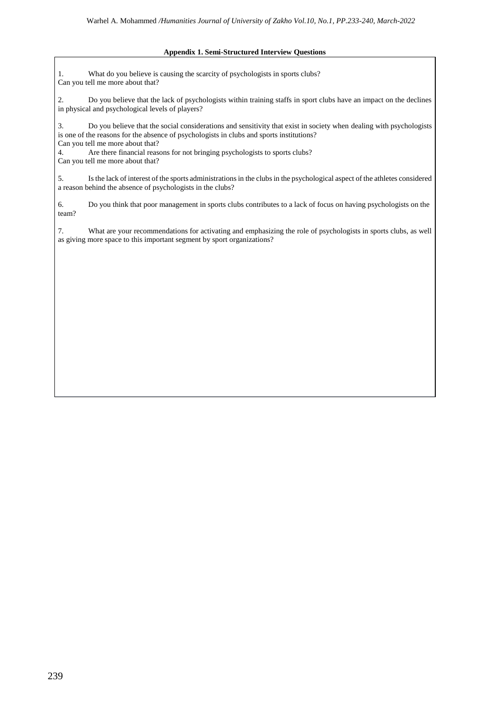# **Appendix 1. Semi-Structured Interview Questions**

1. What do you believe is causing the scarcity of psychologists in sports clubs? Can you tell me more about that?

2. Do you believe that the lack of psychologists within training staffs in sport clubs have an impact on the declines in physical and psychological levels of players?

3. Do you believe that the social considerations and sensitivity that exist in society when dealing with psychologists is one of the reasons for the absence of psychologists in clubs and sports institutions? Can you tell me more about that?

4. Are there financial reasons for not bringing psychologists to sports clubs? Can you tell me more about that?

5. Is the lack of interest of the sports administrations in the clubs in the psychological aspect of the athletes considered a reason behind the absence of psychologists in the clubs?

6. Do you think that poor management in sports clubs contributes to a lack of focus on having psychologists on the team?

7. What are your recommendations for activating and emphasizing the role of psychologists in sports clubs, as well as giving more space to this important segment by sport organizations?